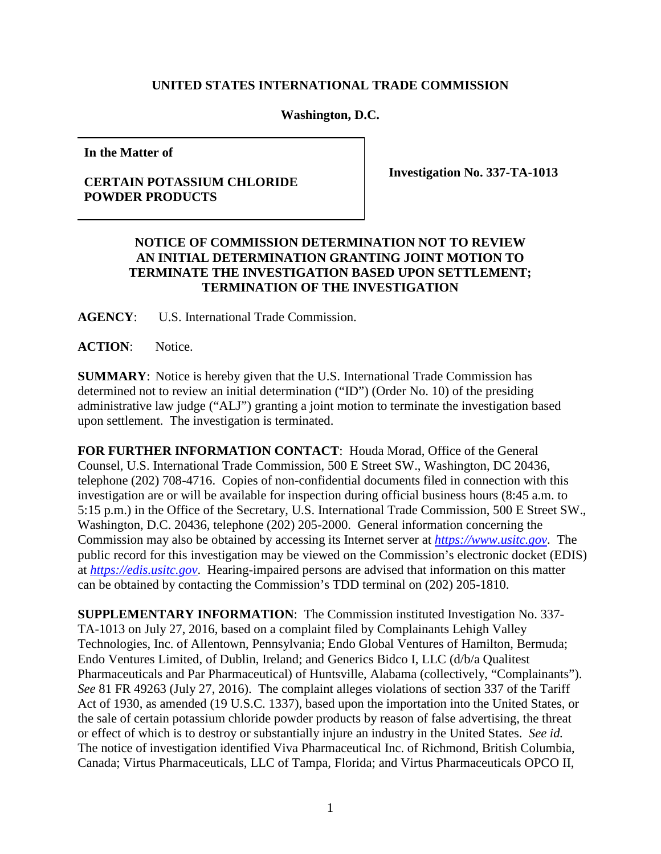## **UNITED STATES INTERNATIONAL TRADE COMMISSION**

## **Washington, D.C.**

**In the Matter of**

## **CERTAIN POTASSIUM CHLORIDE POWDER PRODUCTS**

**Investigation No. 337-TA-1013**

## **NOTICE OF COMMISSION DETERMINATION NOT TO REVIEW AN INITIAL DETERMINATION GRANTING JOINT MOTION TO TERMINATE THE INVESTIGATION BASED UPON SETTLEMENT; TERMINATION OF THE INVESTIGATION**

**AGENCY**: U.S. International Trade Commission.

**ACTION**: Notice.

**SUMMARY**: Notice is hereby given that the U.S. International Trade Commission has determined not to review an initial determination ("ID") (Order No. 10) of the presiding administrative law judge ("ALJ") granting a joint motion to terminate the investigation based upon settlement. The investigation is terminated.

**FOR FURTHER INFORMATION CONTACT**: Houda Morad, Office of the General Counsel, U.S. International Trade Commission, 500 E Street SW., Washington, DC 20436, telephone (202) 708-4716. Copies of non-confidential documents filed in connection with this investigation are or will be available for inspection during official business hours (8:45 a.m. to 5:15 p.m.) in the Office of the Secretary, U.S. International Trade Commission, 500 E Street SW., Washington, D.C. 20436, telephone (202) 205-2000. General information concerning the Commission may also be obtained by accessing its Internet server at *[https://www.usitc.gov](https://www.usitc.gov/)*. The public record for this investigation may be viewed on the Commission's electronic docket (EDIS) at *[https://edis.usitc.gov](http://edis.usitc.gov/)*. Hearing-impaired persons are advised that information on this matter can be obtained by contacting the Commission's TDD terminal on (202) 205-1810.

**SUPPLEMENTARY INFORMATION**: The Commission instituted Investigation No. 337- TA-1013 on July 27, 2016, based on a complaint filed by Complainants Lehigh Valley Technologies, Inc. of Allentown, Pennsylvania; Endo Global Ventures of Hamilton, Bermuda; Endo Ventures Limited, of Dublin, Ireland; and Generics Bidco I, LLC (d/b/a Qualitest Pharmaceuticals and Par Pharmaceutical) of Huntsville, Alabama (collectively, "Complainants"). *See* 81 FR 49263 (July 27, 2016). The complaint alleges violations of section 337 of the Tariff Act of 1930, as amended (19 U.S.C. 1337), based upon the importation into the United States, or the sale of certain potassium chloride powder products by reason of false advertising, the threat or effect of which is to destroy or substantially injure an industry in the United States. *See id.*  The notice of investigation identified Viva Pharmaceutical Inc. of Richmond, British Columbia, Canada; Virtus Pharmaceuticals, LLC of Tampa, Florida; and Virtus Pharmaceuticals OPCO II,